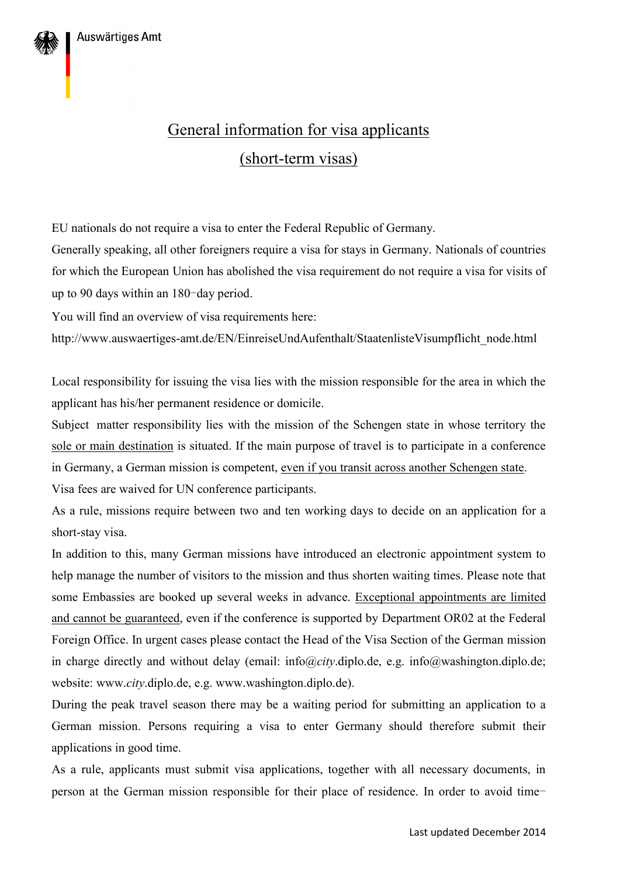

EU nationals do not require a visa to enter the Federal Republic of Germany.

Generally speaking, all other foreigners require a visa for stays in Germany. Nationals of countries for which the European Union has abolished the visa requirement do not require a visa for visits of up to 90 days within an 180-day period.

You will find an overview of visa requirements here:

http://www.auswaertiges-amt.de/EN/EinreiseUndAufenthalt/StaatenlisteVisumpflicht\_node.html

Local responsibility for issuing the visa lies with the mission responsible for the area in which the applicant has his/her permanent residence or domicile.

Subject matter responsibility lies with the mission of the Schengen state in whose territory the sole or main destination is situated. If the main purpose of travel is to participate in a conference in Germany, a German mission is competent, even if you transit across another Schengen state. Visa fees are waived for UN conference participants.

As a rule, missions require between two and ten working days to decide on an application for a short-stay visa.

In addition to this, many German missions have introduced an electronic appointment system to help manage the number of visitors to the mission and thus shorten waiting times. Please note that some Embassies are booked up several weeks in advance. Exceptional appointments are limited and cannot be guaranteed, even if the conference is supported by Department OR02 at the Federal Foreign Office. In urgent cases please contact the Head of the Visa Section of the German mission in charge directly and without delay (email: info@*city*.diplo.de, e.g. info@washington.diplo.de; website: www.*city*.diplo.de, e.g. www.washington.diplo.de).

During the peak travel season there may be a waiting period for submitting an application to a German mission. Persons requiring a visa to enter Germany should therefore submit their applications in good time.

As a rule, applicants must submit visa applications, together with all necessary documents, in person at the German mission responsible for their place of residence. In order to avoid time-